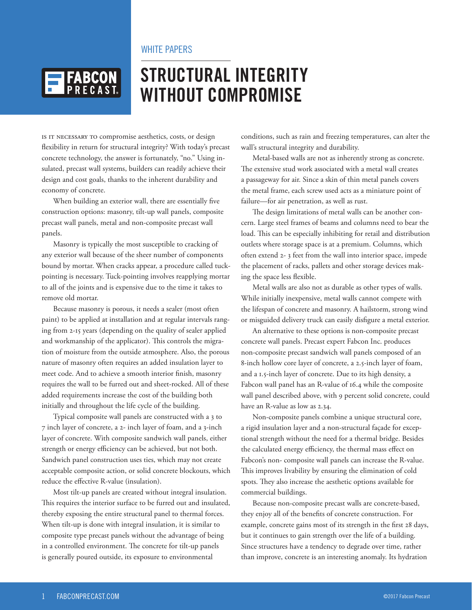### WHITE PAPERS



# **STRUCTURAL INTEGRITY WITHOUT COMPROMISE**

IS IT NECESSARY TO compromise aesthetics, costs, or design flexibility in return for structural integrity? With today's precast concrete technology, the answer is fortunately, "no." Using insulated, precast wall systems, builders can readily achieve their design and cost goals, thanks to the inherent durability and economy of concrete.

When building an exterior wall, there are essentially five construction options: masonry, tilt-up wall panels, composite precast wall panels, metal and non-composite precast wall panels.

Masonry is typically the most susceptible to cracking of any exterior wall because of the sheer number of components bound by mortar. When cracks appear, a procedure called tuckpointing is necessary. Tuck-pointing involves reapplying mortar to all of the joints and is expensive due to the time it takes to remove old mortar.

Because masonry is porous, it needs a sealer (most often paint) to be applied at installation and at regular intervals ranging from 2-15 years (depending on the quality of sealer applied and workmanship of the applicator). This controls the migration of moisture from the outside atmosphere. Also, the porous nature of masonry often requires an added insulation layer to meet code. And to achieve a smooth interior finish, masonry requires the wall to be furred out and sheet-rocked. All of these added requirements increase the cost of the building both initially and throughout the life cycle of the building.

Typical composite wall panels are constructed with a 3 to 7 inch layer of concrete, a 2- inch layer of foam, and a 3-inch layer of concrete. With composite sandwich wall panels, either strength or energy efficiency can be achieved, but not both. Sandwich panel construction uses ties, which may not create acceptable composite action, or solid concrete blockouts, which reduce the effective R-value (insulation).

Most tilt-up panels are created without integral insulation. This requires the interior surface to be furred out and insulated, thereby exposing the entire structural panel to thermal forces. When tilt-up is done with integral insulation, it is similar to composite type precast panels without the advantage of being in a controlled environment. The concrete for tilt-up panels is generally poured outside, its exposure to environmental

conditions, such as rain and freezing temperatures, can alter the wall's structural integrity and durability.

Metal-based walls are not as inherently strong as concrete. The extensive stud work associated with a metal wall creates a passageway for air. Since a skin of thin metal panels covers the metal frame, each screw used acts as a miniature point of failure—for air penetration, as well as rust.

The design limitations of metal walls can be another concern. Large steel frames of beams and columns need to bear the load. This can be especially inhibiting for retail and distribution outlets where storage space is at a premium. Columns, which often extend 2- 3 feet from the wall into interior space, impede the placement of racks, pallets and other storage devices making the space less flexible.

Metal walls are also not as durable as other types of walls. While initially inexpensive, metal walls cannot compete with the lifespan of concrete and masonry. A hailstorm, strong wind or misguided delivery truck can easily disfigure a metal exterior.

An alternative to these options is non-composite precast concrete wall panels. Precast expert Fabcon Inc. produces non-composite precast sandwich wall panels composed of an 8-inch hollow core layer of concrete, a 2.5-inch layer of foam, and a 1.5-inch layer of concrete. Due to its high density, a Fabcon wall panel has an R-value of 16.4 while the composite wall panel described above, with 9 percent solid concrete, could have an R-value as low as 2.34.

Non-composite panels combine a unique structural core, a rigid insulation layer and a non-structural façade for exceptional strength without the need for a thermal bridge. Besides the calculated energy efficiency, the thermal mass effect on Fabcon's non- composite wall panels can increase the R-value. This improves livability by ensuring the elimination of cold spots. They also increase the aesthetic options available for commercial buildings.

Because non-composite precast walls are concrete-based, they enjoy all of the benefits of concrete construction. For example, concrete gains most of its strength in the first 28 days, but it continues to gain strength over the life of a building. Since structures have a tendency to degrade over time, rather than improve, concrete is an interesting anomaly. Its hydration